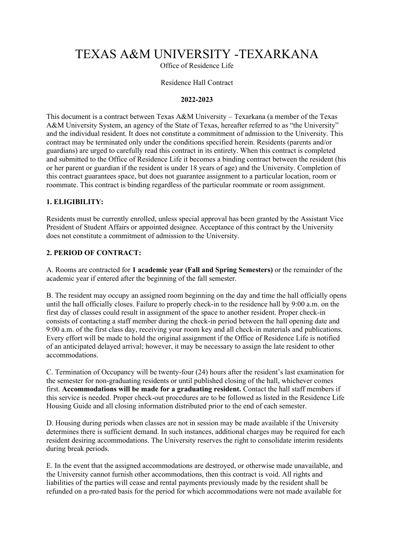# TEXAS A&M UNIVERSITY -TEXARKANA

Office of Residence Life

#### Residence Hall Contract

#### **2022-2023**

This document is a contract between Texas A&M University – Texarkana (a member of the Texas A&M University System, an agency of the State of Texas, hereafter referred to as "the University" and the individual resident. It does not constitute a commitment of admission to the University. This contract may be terminated only under the conditions specified herein. Residents (parents and/or guardians) are urged to carefully read this contract in its entirety. When this contract is completed and submitted to the Office of Residence Life it becomes a binding contract between the resident (his or her parent or guardian if the resident is under 18 years of age) and the University. Completion of this contract guarantees space, but does not guarantee assignment to a particular location, room or roommate. This contract is binding regardless of the particular roommate or room assignment.

#### **1. ELIGIBILITY:**

Residents must be currently enrolled, unless special approval has been granted by the Assistant Vice President of Student Affairs or appointed designee. Acceptance of this contract by the University does not constitute a commitment of admission to the University.

### **2. PERIOD OF CONTRACT:**

A. Rooms are contracted for **1 academic year (Fall and Spring Semesters)** or the remainder of the academic year if entered after the beginning of the fall semester.

B. The resident may occupy an assigned room beginning on the day and time the hall officially opens until the hall officially closes. Failure to properly check-in to the residence hall by 9:00 a.m. on the first day of classes could result in assignment of the space to another resident. Proper check-in consists of contacting a staff member during the check-in period between the hall opening date and 9:00 a.m. of the first class day, receiving your room key and all check-in materials and publications. Every effort will be made to hold the original assignment if the Office of Residence Life is notified of an anticipated delayed arrival; however, it may be necessary to assign the late resident to other accommodations.

C. Termination of Occupancy will be twenty-four (24) hours after the resident's last examination for the semester for non-graduating residents or until published closing of the hall, whichever comes first. **Accommodations will be made for a graduating resident.** Contact the hall staff members if this service is needed. Proper check-out procedures are to be followed as listed in the Residence Life Housing Guide and all closing information distributed prior to the end of each semester.

D. Housing during periods when classes are not in session may be made available if the University determines there is sufficient demand. In such instances, additional charges may be required for each resident desiring accommodations. The University reserves the right to consolidate interim residents during break periods.

E. In the event that the assigned accommodations are destroyed, or otherwise made unavailable, and the University cannot furnish other accommodations, then this contract is void. All rights and liabilities of the parties will cease and rental payments previously made by the resident shall be refunded on a pro-rated basis for the period for which accommodations were not made available for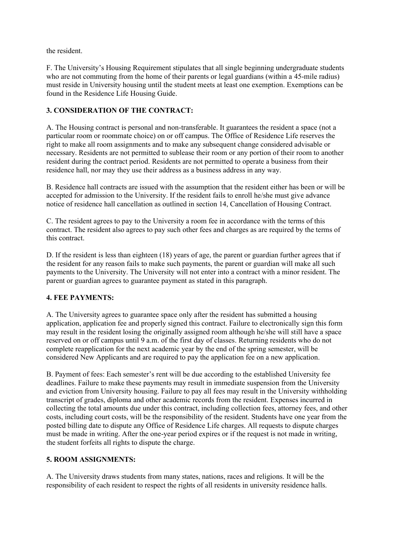the resident.

F. The University's Housing Requirement stipulates that all single beginning undergraduate students who are not commuting from the home of their parents or legal guardians (within a 45-mile radius) must reside in University housing until the student meets at least one exemption. Exemptions can be found in the Residence Life Housing Guide.

# **3. CONSIDERATION OF THE CONTRACT:**

A. The Housing contract is personal and non-transferable. It guarantees the resident a space (not a particular room or roommate choice) on or off campus. The Office of Residence Life reserves the right to make all room assignments and to make any subsequent change considered advisable or necessary. Residents are not permitted to sublease their room or any portion of their room to another resident during the contract period. Residents are not permitted to operate a business from their residence hall, nor may they use their address as a business address in any way.

B. Residence hall contracts are issued with the assumption that the resident either has been or will be accepted for admission to the University. If the resident fails to enroll he/she must give advance notice of residence hall cancellation as outlined in section 14, Cancellation of Housing Contract.

C. The resident agrees to pay to the University a room fee in accordance with the terms of this contract. The resident also agrees to pay such other fees and charges as are required by the terms of this contract.

D. If the resident is less than eighteen (18) years of age, the parent or guardian further agrees that if the resident for any reason fails to make such payments, the parent or guardian will make all such payments to the University. The University will not enter into a contract with a minor resident. The parent or guardian agrees to guarantee payment as stated in this paragraph.

#### **4. FEE PAYMENTS:**

A. The University agrees to guarantee space only after the resident has submitted a housing application, application fee and properly signed this contract. Failure to electronically sign this form may result in the resident losing the originally assigned room although he/she will still have a space reserved on or off campus until 9 a.m. of the first day of classes. Returning residents who do not complete reapplication for the next academic year by the end of the spring semester, will be considered New Applicants and are required to pay the application fee on a new application.

B. Payment of fees: Each semester's rent will be due according to the established University fee deadlines. Failure to make these payments may result in immediate suspension from the University and eviction from University housing. Failure to pay all fees may result in the University withholding transcript of grades, diploma and other academic records from the resident. Expenses incurred in collecting the total amounts due under this contract, including collection fees, attorney fees, and other costs, including court costs, will be the responsibility of the resident. Students have one year from the posted billing date to dispute any Office of Residence Life charges. All requests to dispute charges must be made in writing. After the one-year period expires or if the request is not made in writing, the student forfeits all rights to dispute the charge.

# **5. ROOM ASSIGNMENTS:**

A. The University draws students from many states, nations, races and religions. It will be the responsibility of each resident to respect the rights of all residents in university residence halls.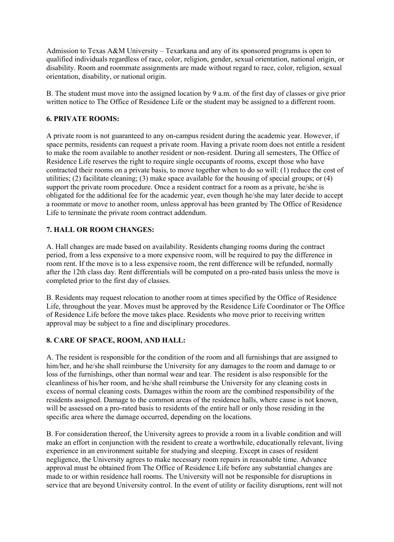Admission to Texas A&M University – Texarkana and any of its sponsored programs is open to qualified individuals regardless of race, color, religion, gender, sexual orientation, national origin, or disability. Room and roommate assignments are made without regard to race, color, religion, sexual orientation, disability, or national origin.

B. The student must move into the assigned location by 9 a.m. of the first day of classes or give prior written notice to The Office of Residence Life or the student may be assigned to a different room.

### **6. PRIVATE ROOMS:**

A private room is not guaranteed to any on-campus resident during the academic year. However, if space permits, residents can request a private room. Having a private room does not entitle a resident to make the room available to another resident or non-resident. During all semesters, The Office of Residence Life reserves the right to require single occupants of rooms, except those who have contracted their rooms on a private basis, to move together when to do so will: (1) reduce the cost of utilities; (2) facilitate cleaning; (3) make space available for the housing of special groups; or (4) support the private room procedure. Once a resident contract for a room as a private, he/she is obligated for the additional fee for the academic year, even though he/she may later decide to accept a roommate or move to another room, unless approval has been granted by The Office of Residence Life to terminate the private room contract addendum.

# **7. HALL OR ROOM CHANGES:**

A. Hall changes are made based on availability. Residents changing rooms during the contract period, from a less expensive to a more expensive room, will be required to pay the difference in room rent. If the move is to a less expensive room, the rent difference will be refunded, normally after the 12th class day. Rent differentials will be computed on a pro-rated basis unless the move is completed prior to the first day of classes.

B. Residents may request relocation to another room at times specified by the Office of Residence Life, throughout the year. Moves must be approved by the Residence Life Coordinator or The Office of Residence Life before the move takes place. Residents who move prior to receiving written approval may be subject to a fine and disciplinary procedures.

#### **8. CARE OF SPACE, ROOM, AND HALL:**

A. The resident is responsible for the condition of the room and all furnishings that are assigned to him/her, and he/she shall reimburse the University for any damages to the room and damage to or loss of the furnishings, other than normal wear and tear. The resident is also responsible for the cleanliness of his/her room, and he/she shall reimburse the University for any cleaning costs in excess of normal cleaning costs. Damages within the room are the combined responsibility of the residents assigned. Damage to the common areas of the residence halls, where cause is not known, will be assessed on a pro-rated basis to residents of the entire hall or only those residing in the specific area where the damage occurred, depending on the locations.

B. For consideration thereof, the University agrees to provide a room in a livable condition and will make an effort in conjunction with the resident to create a worthwhile, educationally relevant, living experience in an environment suitable for studying and sleeping. Except in cases of resident negligence, the University agrees to make necessary room repairs in reasonable time. Advance approval must be obtained from The Office of Residence Life before any substantial changes are made to or within residence hall rooms. The University will not be responsible for disruptions in service that are beyond University control. In the event of utility or facility disruptions, rent will not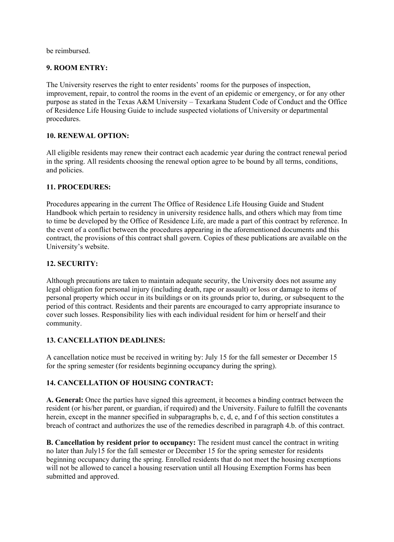be reimbursed.

# **9. ROOM ENTRY:**

The University reserves the right to enter residents' rooms for the purposes of inspection, improvement, repair, to control the rooms in the event of an epidemic or emergency, or for any other purpose as stated in the Texas A&M University – Texarkana Student Code of Conduct and the Office of Residence Life Housing Guide to include suspected violations of University or departmental procedures.

#### **10. RENEWAL OPTION:**

All eligible residents may renew their contract each academic year during the contract renewal period in the spring. All residents choosing the renewal option agree to be bound by all terms, conditions, and policies.

# **11. PROCEDURES:**

Procedures appearing in the current The Office of Residence Life Housing Guide and Student Handbook which pertain to residency in university residence halls, and others which may from time to time be developed by the Office of Residence Life, are made a part of this contract by reference. In the event of a conflict between the procedures appearing in the aforementioned documents and this contract, the provisions of this contract shall govern. Copies of these publications are available on the University's website.

# **12. SECURITY:**

Although precautions are taken to maintain adequate security, the University does not assume any legal obligation for personal injury (including death, rape or assault) or loss or damage to items of personal property which occur in its buildings or on its grounds prior to, during, or subsequent to the period of this contract. Residents and their parents are encouraged to carry appropriate insurance to cover such losses. Responsibility lies with each individual resident for him or herself and their community.

#### **13. CANCELLATION DEADLINES:**

A cancellation notice must be received in writing by: July 15 for the fall semester or December 15 for the spring semester (for residents beginning occupancy during the spring).

# **14. CANCELLATION OF HOUSING CONTRACT:**

**A. General:** Once the parties have signed this agreement, it becomes a binding contract between the resident (or his/her parent, or guardian, if required) and the University. Failure to fulfill the covenants herein, except in the manner specified in subparagraphs b, c, d, e, and f of this section constitutes a breach of contract and authorizes the use of the remedies described in paragraph 4.b. of this contract.

**B. Cancellation by resident prior to occupancy:** The resident must cancel the contract in writing no later than July15 for the fall semester or December 15 for the spring semester for residents beginning occupancy during the spring. Enrolled residents that do not meet the housing exemptions will not be allowed to cancel a housing reservation until all Housing Exemption Forms has been submitted and approved.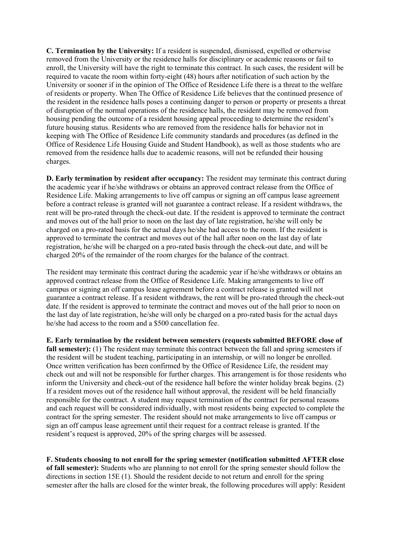**C. Termination by the University:** If a resident is suspended, dismissed, expelled or otherwise removed from the University or the residence halls for disciplinary or academic reasons or fail to enroll, the University will have the right to terminate this contract. In such cases, the resident will be required to vacate the room within forty-eight (48) hours after notification of such action by the University or sooner if in the opinion of The Office of Residence Life there is a threat to the welfare of residents or property. When The Office of Residence Life believes that the continued presence of the resident in the residence halls poses a continuing danger to person or property or presents a threat of disruption of the normal operations of the residence halls, the resident may be removed from housing pending the outcome of a resident housing appeal proceeding to determine the resident's future housing status. Residents who are removed from the residence halls for behavior not in keeping with The Office of Residence Life community standards and procedures (as defined in the Office of Residence Life Housing Guide and Student Handbook), as well as those students who are removed from the residence halls due to academic reasons, will not be refunded their housing charges.

**D. Early termination by resident after occupancy:** The resident may terminate this contract during the academic year if he/she withdraws or obtains an approved contract release from the Office of Residence Life. Making arrangements to live off campus or signing an off campus lease agreement before a contract release is granted will not guarantee a contract release. If a resident withdraws, the rent will be pro-rated through the check-out date. If the resident is approved to terminate the contract and moves out of the hall prior to noon on the last day of late registration, he/she will only be charged on a pro-rated basis for the actual days he/she had access to the room. If the resident is approved to terminate the contract and moves out of the hall after noon on the last day of late registration, he/she will be charged on a pro-rated basis through the check-out date, and will be charged 20% of the remainder of the room charges for the balance of the contract.

The resident may terminate this contract during the academic year if he/she withdraws or obtains an approved contract release from the Office of Residence Life. Making arrangements to live off campus or signing an off campus lease agreement before a contract release is granted will not guarantee a contract release. If a resident withdraws, the rent will be pro-rated through the check-out date. If the resident is approved to terminate the contract and moves out of the hall prior to noon on the last day of late registration, he/she will only be charged on a pro-rated basis for the actual days he/she had access to the room and a \$500 cancellation fee.

**E. Early termination by the resident between semesters (requests submitted BEFORE close of fall semester):** (1) The resident may terminate this contract between the fall and spring semesters if the resident will be student teaching, participating in an internship, or will no longer be enrolled. Once written verification has been confirmed by the Office of Residence Life, the resident may check out and will not be responsible for further charges. This arrangement is for those residents who inform the University and check-out of the residence hall before the winter holiday break begins. (2) If a resident moves out of the residence hall without approval, the resident will be held financially responsible for the contract. A student may request termination of the contract for personal reasons and each request will be considered individually, with most residents being expected to complete the contract for the spring semester. The resident should not make arrangements to live off campus or sign an off campus lease agreement until their request for a contract release is granted. If the resident's request is approved, 20% of the spring charges will be assessed.

**F. Students choosing to not enroll for the spring semester (notification submitted AFTER close of fall semester):** Students who are planning to not enroll for the spring semester should follow the directions in section 15E (1). Should the resident decide to not return and enroll for the spring semester after the halls are closed for the winter break, the following procedures will apply: Resident